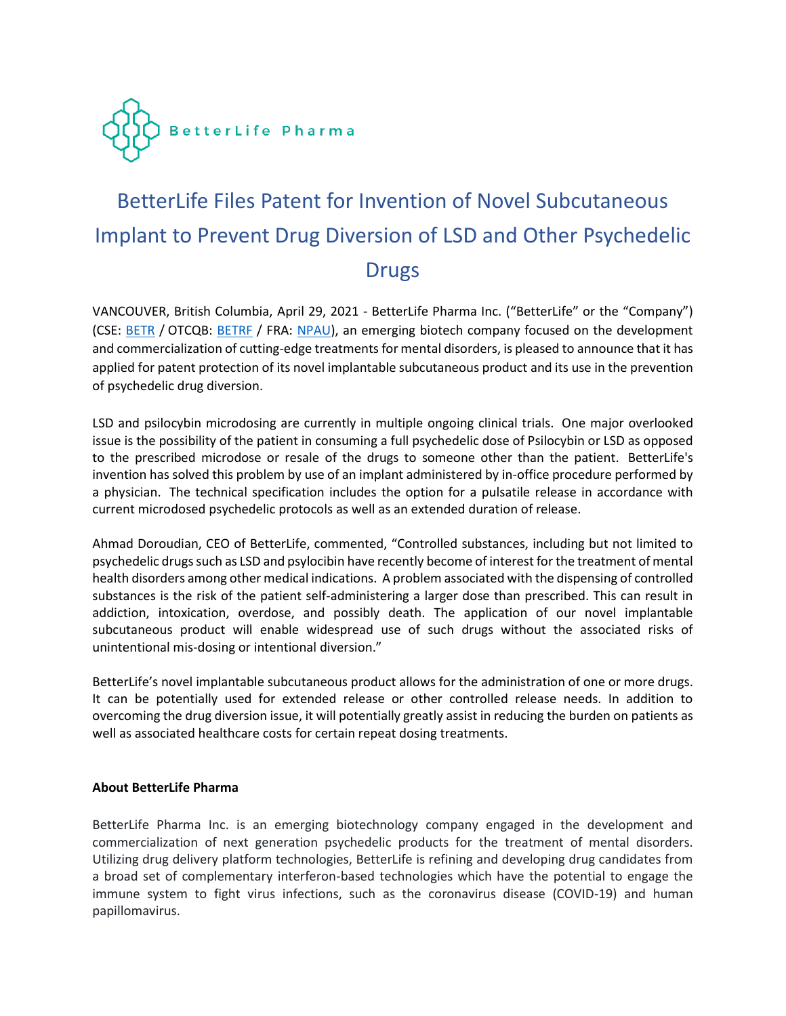

## BetterLife Files Patent for Invention of Novel Subcutaneous Implant to Prevent Drug Diversion of LSD and Other Psychedelic **Drugs**

VANCOUVER, British Columbia, April 29, 2021 - BetterLife Pharma Inc. ("BetterLife" or the "Company") (CSE: [BETR](https://thecse.com/en/listings/life-sciences/betterlife-pharma-inc) / OTCQB: [BETRF](https://www.otcmarkets.com/stock/BETRF/overview) / FRA: [NPAU\)](https://www.tradegate.de/orderbuch.php?lang=en&isin=CA08772P2026), an emerging biotech company focused on the development and commercialization of cutting-edge treatments for mental disorders, is pleased to announce that it has applied for patent protection of its novel implantable subcutaneous product and its use in the prevention of psychedelic drug diversion.

LSD and psilocybin microdosing are currently in multiple ongoing clinical trials. One major overlooked issue is the possibility of the patient in consuming a full psychedelic dose of Psilocybin or LSD as opposed to the prescribed microdose or resale of the drugs to someone other than the patient. BetterLife's invention has solved this problem by use of an implant administered by in-office procedure performed by a physician. The technical specification includes the option for a pulsatile release in accordance with current microdosed psychedelic protocols as well as an extended duration of release.

Ahmad Doroudian, CEO of BetterLife, commented, "Controlled substances, including but not limited to psychedelic drugs such as LSD and psylocibin have recently become of interest for the treatment of mental health disorders among other medical indications. A problem associated with the dispensing of controlled substances is the risk of the patient self-administering a larger dose than prescribed. This can result in addiction, intoxication, overdose, and possibly death. The application of our novel implantable subcutaneous product will enable widespread use of such drugs without the associated risks of unintentional mis-dosing or intentional diversion."

BetterLife's novel implantable subcutaneous product allows for the administration of one or more drugs. It can be potentially used for extended release or other controlled release needs. In addition to overcoming the drug diversion issue, it will potentially greatly assist in reducing the burden on patients as well as associated healthcare costs for certain repeat dosing treatments.

## **About BetterLife Pharma**

BetterLife Pharma Inc. is an emerging biotechnology company engaged in the development and commercialization of next generation psychedelic products for the treatment of mental disorders. Utilizing drug delivery platform technologies, BetterLife is refining and developing drug candidates from a broad set of complementary interferon-based technologies which have the potential to engage the immune system to fight virus infections, such as the coronavirus disease (COVID-19) and human papillomavirus.